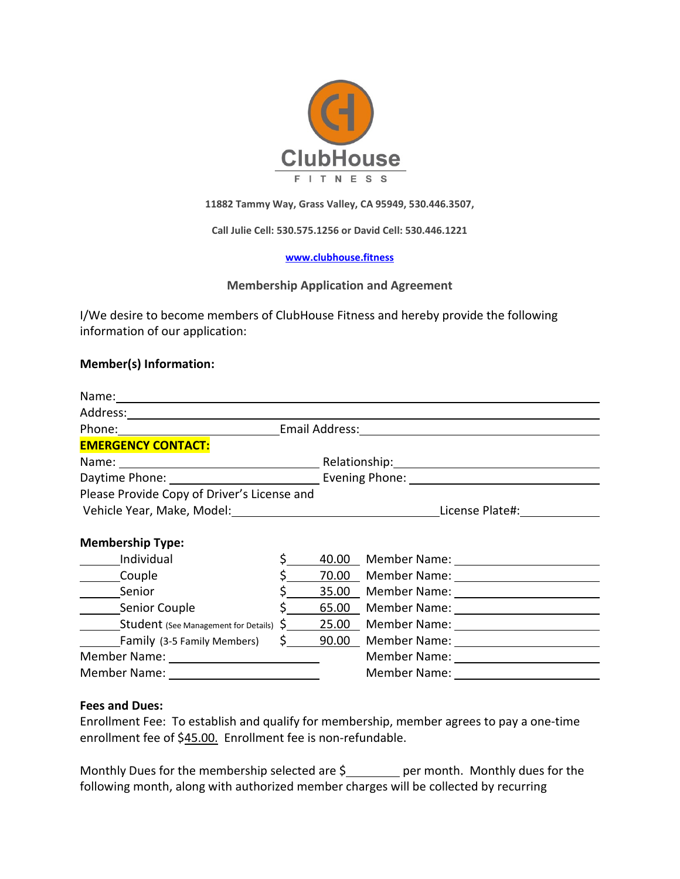

**11882 Tammy Way, Grass Valley, CA 95949, 530.446.3507,** 

**Call Julie Cell: 530.575.1256 or David Cell: 530.446.1221**

### **[www.clubhouse.fitness](http://www.clubhouse.fitness/)**

## **Membership Application and Agreement**

I/We desire to become members of ClubHouse Fitness and hereby provide the following information of our application:

## **Member(s) Information:**

|                                                  | Phone: Email Address: Email Address:   |                                                                                                                |                                                                                                                                                                                                                               |  |  |
|--------------------------------------------------|----------------------------------------|----------------------------------------------------------------------------------------------------------------|-------------------------------------------------------------------------------------------------------------------------------------------------------------------------------------------------------------------------------|--|--|
| <b>EMERGENCY CONTACT:</b>                        |                                        |                                                                                                                |                                                                                                                                                                                                                               |  |  |
|                                                  |                                        |                                                                                                                | Name: Name: Name: Name: Name: Name: Name: Name: Name: Name: Name: Name: Name: Name: Name: Name: Name: Name: Name: Name: Name: Name: Name: Name: Name: Name: Name: Name: Name: Name: Name: Name: Name: Name: Name: Name: Name: |  |  |
|                                                  |                                        | Daytime Phone: Capacity Communication Communication Communication Communication Communication Communication Co |                                                                                                                                                                                                                               |  |  |
| Please Provide Copy of Driver's License and      |                                        |                                                                                                                |                                                                                                                                                                                                                               |  |  |
| Vehicle Year, Make, Model: \\sqrt{\math{\math}}} |                                        |                                                                                                                | License Plate#:                                                                                                                                                                                                               |  |  |
| <b>Membership Type:</b>                          |                                        |                                                                                                                |                                                                                                                                                                                                                               |  |  |
| Individual                                       |                                        |                                                                                                                |                                                                                                                                                                                                                               |  |  |
| _______Couple                                    |                                        |                                                                                                                |                                                                                                                                                                                                                               |  |  |
| Senior                                           |                                        |                                                                                                                | 35.00 Member Name: 1988 Manual Manual Manual Manual Manual Manual Manual Manual Manual Manual Manual Manual Ma                                                                                                                |  |  |
| ___________Senior Couple                         |                                        | 65.00                                                                                                          |                                                                                                                                                                                                                               |  |  |
|                                                  |                                        | $\frac{1}{2}$ 25.00                                                                                            |                                                                                                                                                                                                                               |  |  |
| Family (3-5 Family Members)                      | $\mathsf{S}$ . The set of $\mathsf{S}$ | 90.00                                                                                                          |                                                                                                                                                                                                                               |  |  |
|                                                  |                                        |                                                                                                                |                                                                                                                                                                                                                               |  |  |
|                                                  |                                        |                                                                                                                |                                                                                                                                                                                                                               |  |  |

### **Fees and Dues:**

Enrollment Fee: To establish and qualify for membership, member agrees to pay a one-time enrollment fee of \$45.00. Enrollment fee is non-refundable.

Monthly Dues for the membership selected are  $\frac{1}{2}$  per month. Monthly dues for the following month, along with authorized member charges will be collected by recurring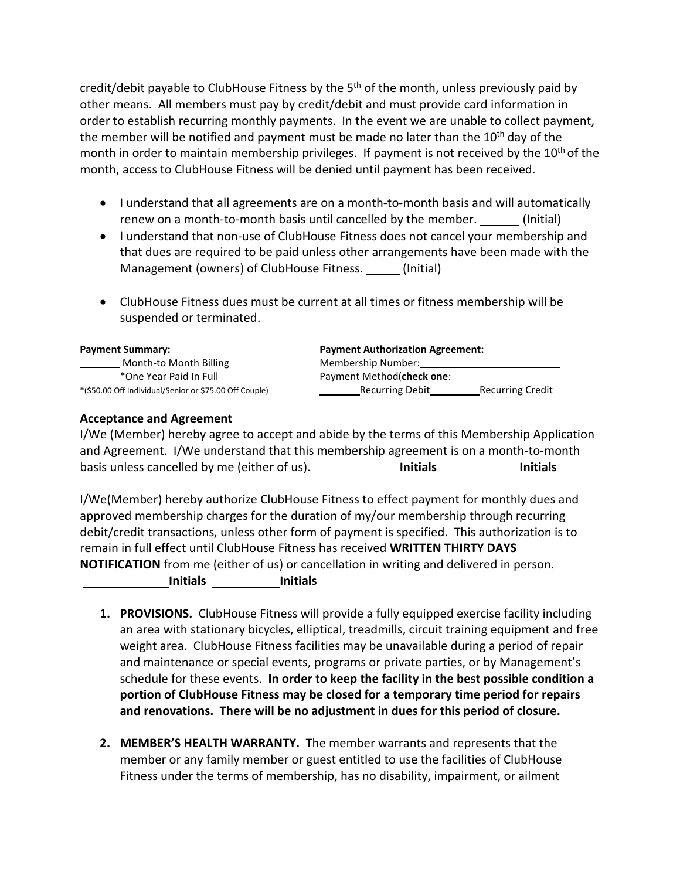credit/debit payable to ClubHouse Fitness by the  $5<sup>th</sup>$  of the month, unless previously paid by other means. All members must pay by credit/debit and must provide card information in order to establish recurring monthly payments. In the event we are unable to collect payment, the member will be notified and payment must be made no later than the  $10^{th}$  dav of the month in order to maintain membership privileges. If payment is not received by the 10<sup>th</sup> of the month, access to ClubHouse Fitness will be denied until payment has been received.

- I understand that all agreements are on a month-to-month basis and will automatically renew on a month-to-month basis until cancelled by the member. (Initial)
- I understand that non-use of ClubHouse Fitness does not cancel your membership and that dues are required to be paid unless other arrangements have been made with the Management (owners) of ClubHouse Fitness. \_\_\_\_\_ (Initial)
- ClubHouse Fitness dues must be current at all times or fitness membership will be suspended or terminated.

| <b>Payment Summary:</b>                                | <b>Payment Authorization Agreement:</b> |                         |
|--------------------------------------------------------|-----------------------------------------|-------------------------|
| Month-to Month Billing                                 | Membership Number:                      |                         |
| *One Year Paid In Full                                 | Payment Method(check one:               |                         |
| *(\$50.00 Off Individual/Senior or \$75.00 Off Couple) | <b>Recurring Debit</b>                  | <b>Recurring Credit</b> |

# **Acceptance and Agreement**

I/We (Member) hereby agree to accept and abide by the terms of this Membership Application and Agreement. I/We understand that this membership agreement is on a month-to-month basis unless cancelled by me (either of us). **Initials Initials**

I/We(Member) hereby authorize ClubHouse Fitness to effect payment for monthly dues and approved membership charges for the duration of my/our membership through recurring debit/credit transactions, unless other form of payment is specified. This authorization is to remain in full effect until ClubHouse Fitness has received **WRITTEN THIRTY DAYS NOTIFICATION** from me (either of us) or cancellation in writing and delivered in person.

 **Initials Initials**

- **1. PROVISIONS.** ClubHouse Fitness will provide a fully equipped exercise facility including an area with stationary bicycles, elliptical, treadmills, circuit training equipment and free weight area. ClubHouse Fitness facilities may be unavailable during a period of repair and maintenance or special events, programs or private parties, or by Management's schedule for these events. **In order to keep the facility in the best possible condition a portion of ClubHouse Fitness may be closed for a temporary time period for repairs and renovations. There will be no adjustment in dues for this period of closure.**
- **2. MEMBER'S HEALTH WARRANTY.** The member warrants and represents that the member or any family member or guest entitled to use the facilities of ClubHouse Fitness under the terms of membership, has no disability, impairment, or ailment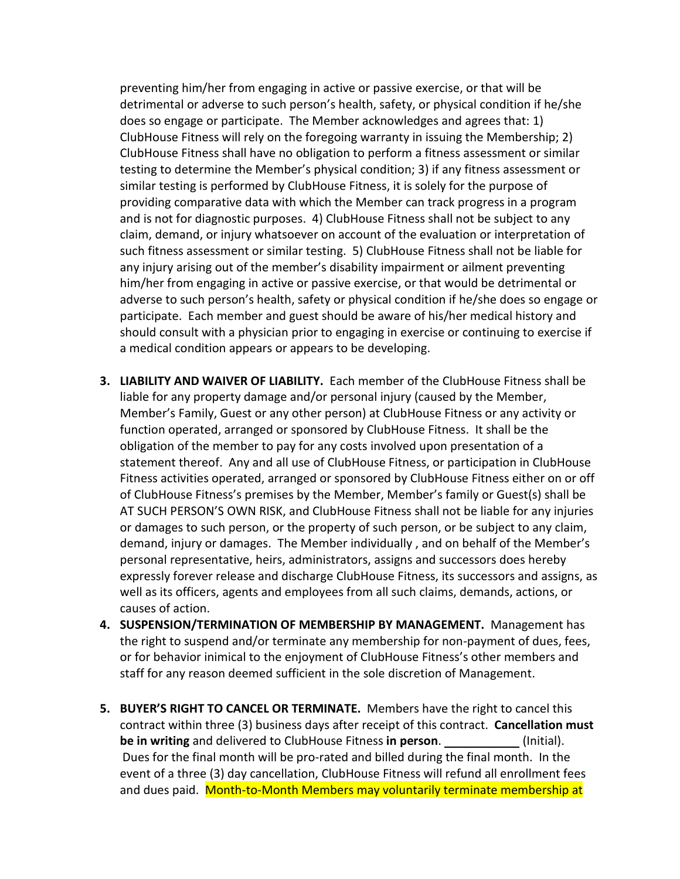preventing him/her from engaging in active or passive exercise, or that will be detrimental or adverse to such person's health, safety, or physical condition if he/she does so engage or participate. The Member acknowledges and agrees that: 1) ClubHouse Fitness will rely on the foregoing warranty in issuing the Membership; 2) ClubHouse Fitness shall have no obligation to perform a fitness assessment or similar testing to determine the Member's physical condition; 3) if any fitness assessment or similar testing is performed by ClubHouse Fitness, it is solely for the purpose of providing comparative data with which the Member can track progress in a program and is not for diagnostic purposes. 4) ClubHouse Fitness shall not be subject to any claim, demand, or injury whatsoever on account of the evaluation or interpretation of such fitness assessment or similar testing. 5) ClubHouse Fitness shall not be liable for any injury arising out of the member's disability impairment or ailment preventing him/her from engaging in active or passive exercise, or that would be detrimental or adverse to such person's health, safety or physical condition if he/she does so engage or participate. Each member and guest should be aware of his/her medical history and should consult with a physician prior to engaging in exercise or continuing to exercise if a medical condition appears or appears to be developing.

- **3. LIABILITY AND WAIVER OF LIABILITY.** Each member of the ClubHouse Fitness shall be liable for any property damage and/or personal injury (caused by the Member, Member's Family, Guest or any other person) at ClubHouse Fitness or any activity or function operated, arranged or sponsored by ClubHouse Fitness. It shall be the obligation of the member to pay for any costs involved upon presentation of a statement thereof. Any and all use of ClubHouse Fitness, or participation in ClubHouse Fitness activities operated, arranged or sponsored by ClubHouse Fitness either on or off of ClubHouse Fitness's premises by the Member, Member's family or Guest(s) shall be AT SUCH PERSON'S OWN RISK, and ClubHouse Fitness shall not be liable for any injuries or damages to such person, or the property of such person, or be subject to any claim, demand, injury or damages. The Member individually , and on behalf of the Member's personal representative, heirs, administrators, assigns and successors does hereby expressly forever release and discharge ClubHouse Fitness, its successors and assigns, as well as its officers, agents and employees from all such claims, demands, actions, or causes of action.
- **4. SUSPENSION/TERMINATION OF MEMBERSHIP BY MANAGEMENT.** Management has the right to suspend and/or terminate any membership for non-payment of dues, fees, or for behavior inimical to the enjoyment of ClubHouse Fitness's other members and staff for any reason deemed sufficient in the sole discretion of Management.
- **5. BUYER'S RIGHT TO CANCEL OR TERMINATE.** Members have the right to cancel this contract within three (3) business days after receipt of this contract. **Cancellation must be in writing** and delivered to ClubHouse Fitness **in person**. (Initial). Dues for the final month will be pro-rated and billed during the final month. In the event of a three (3) day cancellation, ClubHouse Fitness will refund all enrollment fees and dues paid. Month-to-Month Members may voluntarily terminate membership at